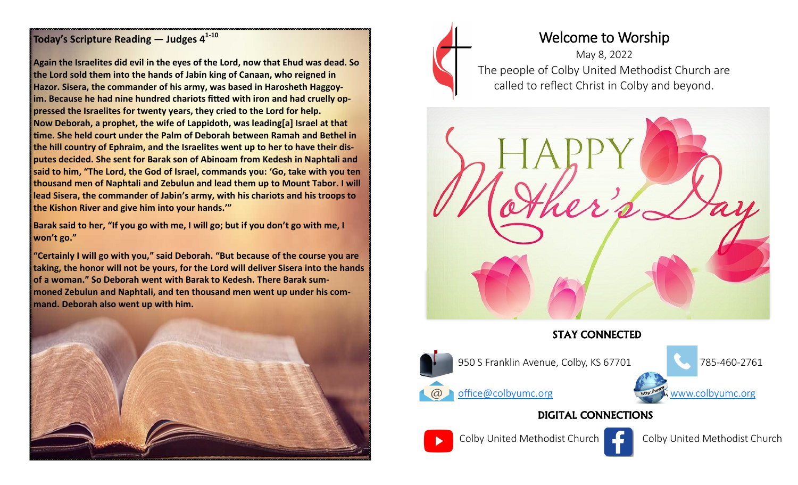#### **Today's Scripture Reading — Judges 4<sup>1</sup>-<sup>10</sup>**

**Again the Israelites did evil in the eyes of the Lord, now that Ehud was dead. So the Lord sold them into the hands of Jabin king of Canaan, who reigned in Hazor. Sisera, the commander of his army, was based in Harosheth Haggoyim. Because he had nine hundred chariots fitted with iron and had cruelly oppressed the Israelites for twenty years, they cried to the Lord for help. Now Deborah, a prophet, the wife of Lappidoth, was leading[a] Israel at that time. She held court under the Palm of Deborah between Ramah and Bethel in the hill country of Ephraim, and the Israelites went up to her to have their disputes decided. She sent for Barak son of Abinoam from Kedesh in Naphtali and said to him, "The Lord, the God of Israel, commands you: 'Go, take with you ten thousand men of Naphtali and Zebulun and lead them up to Mount Tabor. I will lead Sisera, the commander of Jabin's army, with his chariots and his troops to the Kishon River and give him into your hands.'"**

**Barak said to her, "If you go with me, I will go; but if you don't go with me, I won't go."**

**"Certainly I will go with you," said Deborah. "But because of the course you are taking, the honor will not be yours, for the Lord will deliver Sisera into the hands of a woman." So Deborah went with Barak to Kedesh. There Barak summoned Zebulun and Naphtali, and ten thousand men went up under his command. Deborah also went up with him.**







### STAY CONNECTED



950 S Franklin Avenue, Colby, KS 67701 785-460-2761



## DIGITAL CONNECTIONS





Colby United Methodist Church Colby United Methodist Church